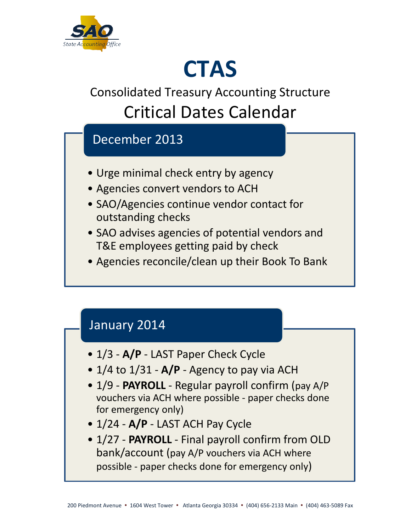

# **CTAS**

## Consolidated Treasury Accounting Structure Critical Dates Calendar

### December 2013

- Urge minimal check entry by agency
- Agencies convert vendors to ACH
- SAO/Agencies continue vendor contact for outstanding checks
- SAO advises agencies of potential vendors and T&E employees getting paid by check
- Agencies reconcile/clean up their Book To Bank

#### January 2014

- 1/3 **A/P** LAST Paper Check Cycle
- 1/4 to 1/31 **A/P** Agency to pay via ACH
- 1/9 **PAYROLL** Regular payroll confirm (pay A/P vouchers via ACH where possible - paper checks done for emergency only)
- 1/24 **A/P** LAST ACH Pay Cycle
- 1/27 **PAYROLL** Final payroll confirm from OLD bank/account (pay A/P vouchers via ACH where possible - paper checks done for emergency only)